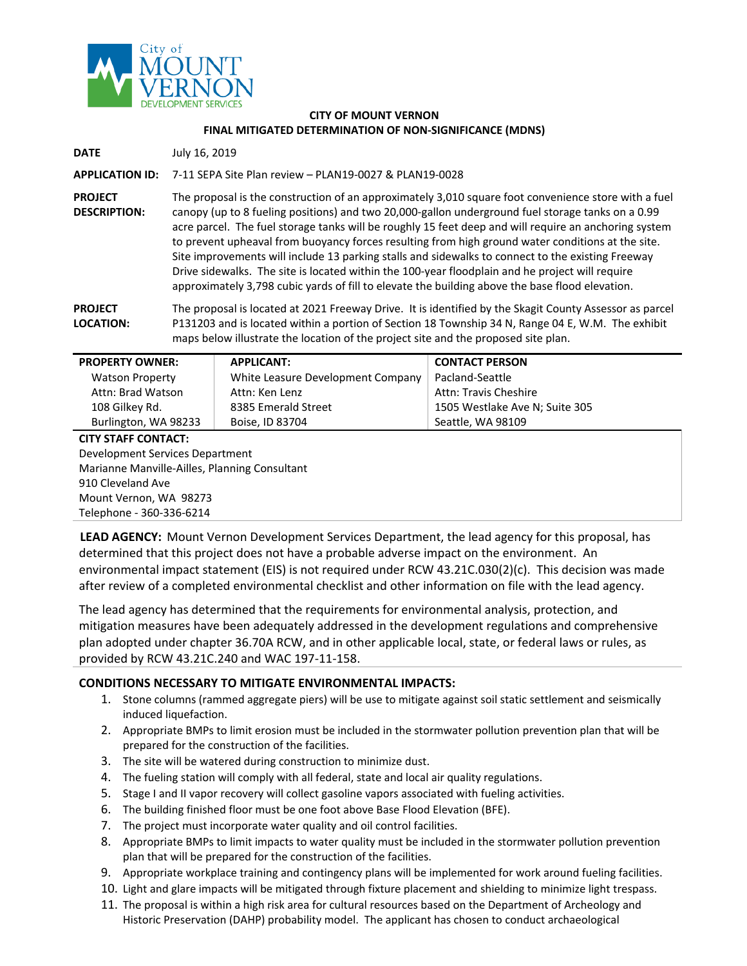

#### **CITY OF MOUNT VERNON FINAL MITIGATED DETERMINATION OF NON-SIGNIFICANCE (MDNS)**

**DATE** July 16, 2019

**APPLICATION ID:** 7-11 SEPA Site Plan review – PLAN19-0027 & PLAN19-0028

**PROJECT DESCRIPTION:** The proposal is the construction of an approximately 3,010 square foot convenience store with a fuel canopy (up to 8 fueling positions) and two 20,000-gallon underground fuel storage tanks on a 0.99 acre parcel. The fuel storage tanks will be roughly 15 feet deep and will require an anchoring system to prevent upheaval from buoyancy forces resulting from high ground water conditions at the site. Site improvements will include 13 parking stalls and sidewalks to connect to the existing Freeway Drive sidewalks. The site is located within the 100-year floodplain and he project will require approximately 3,798 cubic yards of fill to elevate the building above the base flood elevation.

**PROJECT LOCATION:** The proposal is located at 2021 Freeway Drive. It is identified by the Skagit County Assessor as parcel P131203 and is located within a portion of Section 18 Township 34 N, Range 04 E, W.M. The exhibit maps below illustrate the location of the project site and the proposed site plan.

| <b>APPLICANT:</b><br><b>PROPERTY OWNER:</b>   |                                                | <b>CONTACT PERSON</b>          |  |  |  |  |
|-----------------------------------------------|------------------------------------------------|--------------------------------|--|--|--|--|
| <b>Watson Property</b>                        | White Leasure Development Company              | Pacland-Seattle                |  |  |  |  |
| Attn: Brad Watson                             | <b>Attn: Travis Cheshire</b><br>Attn: Ken Lenz |                                |  |  |  |  |
| 108 Gilkey Rd.                                | 8385 Emerald Street                            | 1505 Westlake Ave N; Suite 305 |  |  |  |  |
| Burlington, WA 98233                          | Boise, ID 83704                                | Seattle, WA 98109              |  |  |  |  |
| <b>CITY STAFF CONTACT:</b>                    |                                                |                                |  |  |  |  |
| Development Services Department               |                                                |                                |  |  |  |  |
| Marianne Manville-Ailles, Planning Consultant |                                                |                                |  |  |  |  |
| 910 Cleveland Ave                             |                                                |                                |  |  |  |  |
| $M$ ount Varnon $M\Lambda$ 00072              |                                                |                                |  |  |  |  |

Mount Vernon, WA 98273 Telephone - 360-336-6214

**LEAD AGENCY:** Mount Vernon Development Services Department, the lead agency for this proposal, has determined that this project does not have a probable adverse impact on the environment. An environmental impact statement (EIS) is not required under RCW 43.21C.030(2)(c). This decision was made after review of a completed environmental checklist and other information on file with the lead agency.

The lead agency has determined that the requirements for environmental analysis, protection, and mitigation measures have been adequately addressed in the development regulations and comprehensive plan adopted under chapter 36.70A RCW, and in other applicable local, state, or federal laws or rules, as provided by RCW 43.21C.240 and WAC 197-11-158.

### **CONDITIONS NECESSARY TO MITIGATE ENVIRONMENTAL IMPACTS:**

- 1. Stone columns (rammed aggregate piers) will be use to mitigate against soil static settlement and seismically induced liquefaction.
- 2. Appropriate BMPs to limit erosion must be included in the stormwater pollution prevention plan that will be prepared for the construction of the facilities.
- 3. The site will be watered during construction to minimize dust.
- 4. The fueling station will comply with all federal, state and local air quality regulations.
- 5. Stage I and II vapor recovery will collect gasoline vapors associated with fueling activities.
- 6. The building finished floor must be one foot above Base Flood Elevation (BFE).
- 7. The project must incorporate water quality and oil control facilities.
- 8. Appropriate BMPs to limit impacts to water quality must be included in the stormwater pollution prevention plan that will be prepared for the construction of the facilities.
- 9. Appropriate workplace training and contingency plans will be implemented for work around fueling facilities.
- 10. Light and glare impacts will be mitigated through fixture placement and shielding to minimize light trespass.
- 11. The proposal is within a high risk area for cultural resources based on the Department of Archeology and Historic Preservation (DAHP) probability model. The applicant has chosen to conduct archaeological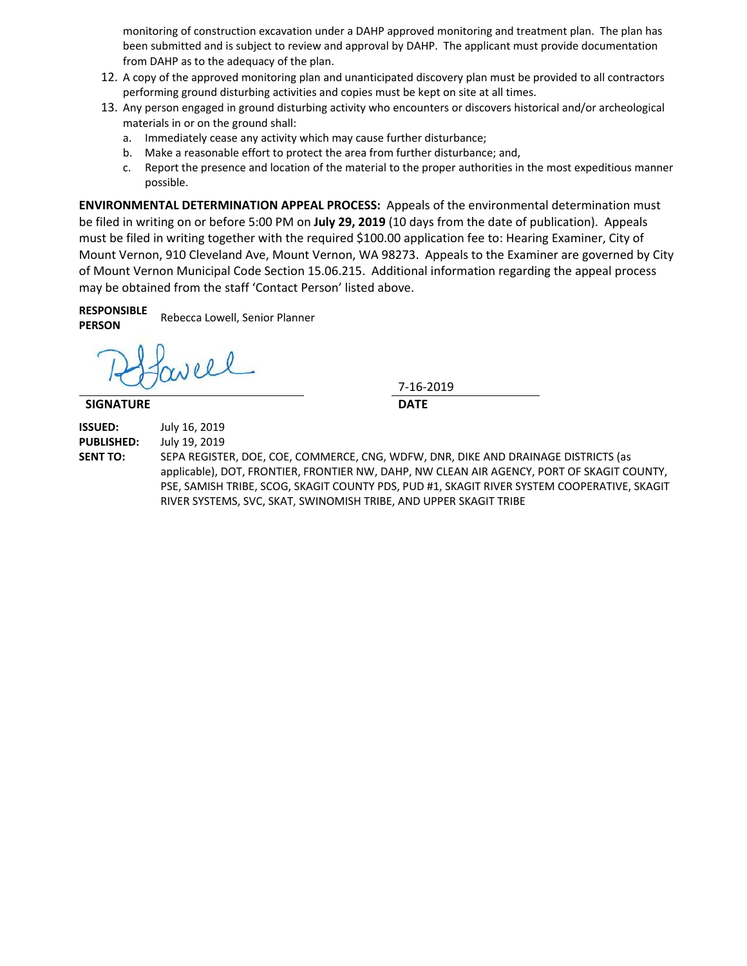monitoring of construction excavation under a DAHP approved monitoring and treatment plan. The plan has been submitted and is subject to review and approval by DAHP. The applicant must provide documentation from DAHP as to the adequacy of the plan.

- 12. A copy of the approved monitoring plan and unanticipated discovery plan must be provided to all contractors performing ground disturbing activities and copies must be kept on site at all times.
- 13. Any person engaged in ground disturbing activity who encounters or discovers historical and/or archeological materials in or on the ground shall:
	- a. Immediately cease any activity which may cause further disturbance;
	- b. Make a reasonable effort to protect the area from further disturbance; and,
	- c. Report the presence and location of the material to the proper authorities in the most expeditious manner possible.

**ENVIRONMENTAL DETERMINATION APPEAL PROCESS:** Appeals of the environmental determination must be filed in writing on or before 5:00 PM on **July 29, 2019** (10 days from the date of publication). Appeals must be filed in writing together with the required \$100.00 application fee to: Hearing Examiner, City of Mount Vernon, 910 Cleveland Ave, Mount Vernon, WA 98273. Appeals to the Examiner are governed by City of Mount Vernon Municipal Code Section 15.06.215. Additional information regarding the appeal process may be obtained from the staff 'Contact Person' listed above.

**RESPONSIBLE PERSON** Rebecca Lowell, Senior Planner

Nell

### **SIGNATURE DATE**

7-16-2019

**ISSUED:** July 16, 2019 **PUBLISHED:** July 19, 2019

**SENT TO:** SEPA REGISTER, DOE, COE, COMMERCE, CNG, WDFW, DNR, DIKE AND DRAINAGE DISTRICTS (as

applicable), DOT, FRONTIER, FRONTIER NW, DAHP, NW CLEAN AIR AGENCY, PORT OF SKAGIT COUNTY, PSE, SAMISH TRIBE, SCOG, SKAGIT COUNTY PDS, PUD #1, SKAGIT RIVER SYSTEM COOPERATIVE, SKAGIT RIVER SYSTEMS, SVC, SKAT, SWINOMISH TRIBE, AND UPPER SKAGIT TRIBE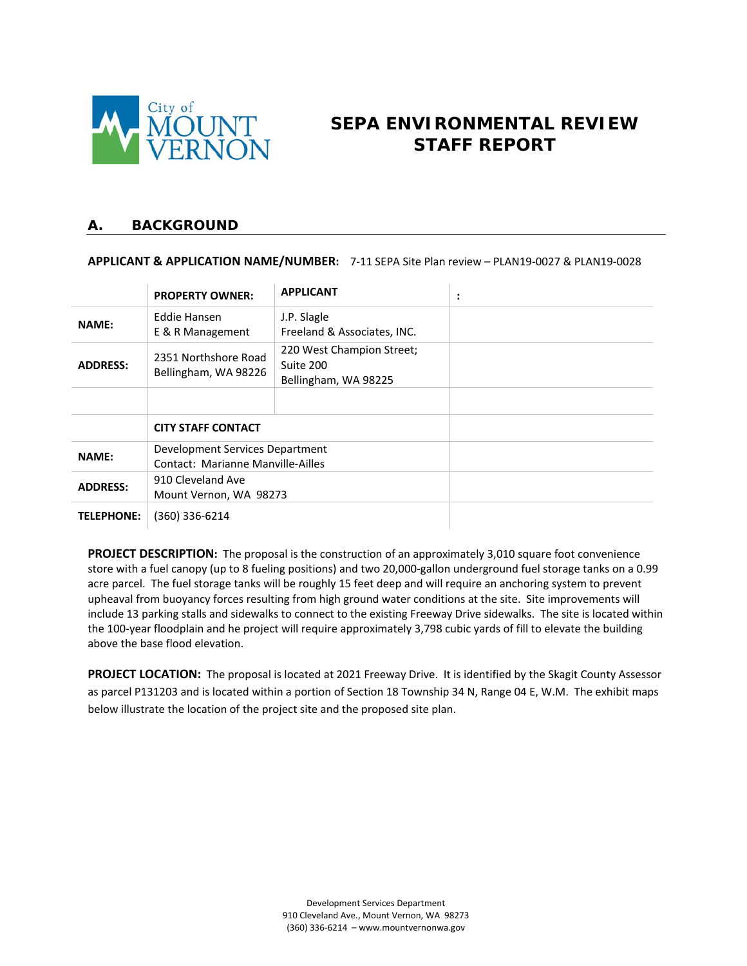

# **SEPA ENVIRONMENTAL REVIEW STAFF REPORT**

### **A. BACKGROUND**

#### **APPLICANT & APPLICATION NAME/NUMBER:** 7-11 SEPA Site Plan review – PLAN19-0027 & PLAN19-0028

|                   | <b>PROPERTY OWNER:</b>                       | <b>APPLICANT</b>                                               | ٠<br>$\bullet$ |
|-------------------|----------------------------------------------|----------------------------------------------------------------|----------------|
| <b>NAME:</b>      | Eddie Hansen<br>E & R Management             | J.P. Slagle<br>Freeland & Associates, INC.                     |                |
| <b>ADDRESS:</b>   | 2351 Northshore Road<br>Bellingham, WA 98226 | 220 West Champion Street;<br>Suite 200<br>Bellingham, WA 98225 |                |
|                   |                                              |                                                                |                |
|                   | <b>CITY STAFF CONTACT</b>                    |                                                                |                |
| <b>NAME:</b>      | Development Services Department              |                                                                |                |
|                   | Contact: Marianne Manville-Ailles            |                                                                |                |
| <b>ADDRESS:</b>   | 910 Cleveland Ave                            |                                                                |                |
|                   | Mount Vernon, WA 98273                       |                                                                |                |
| <b>TELEPHONE:</b> | (360) 336-6214                               |                                                                |                |

**PROJECT DESCRIPTION:** The proposal is the construction of an approximately 3,010 square foot convenience store with a fuel canopy (up to 8 fueling positions) and two 20,000-gallon underground fuel storage tanks on a 0.99 acre parcel. The fuel storage tanks will be roughly 15 feet deep and will require an anchoring system to prevent upheaval from buoyancy forces resulting from high ground water conditions at the site. Site improvements will include 13 parking stalls and sidewalks to connect to the existing Freeway Drive sidewalks. The site is located within the 100-year floodplain and he project will require approximately 3,798 cubic yards of fill to elevate the building above the base flood elevation.

**PROJECT LOCATION:** The proposal is located at 2021 Freeway Drive. It is identified by the Skagit County Assessor as parcel P131203 and is located within a portion of Section 18 Township 34 N, Range 04 E, W.M. The exhibit maps below illustrate the location of the project site and the proposed site plan.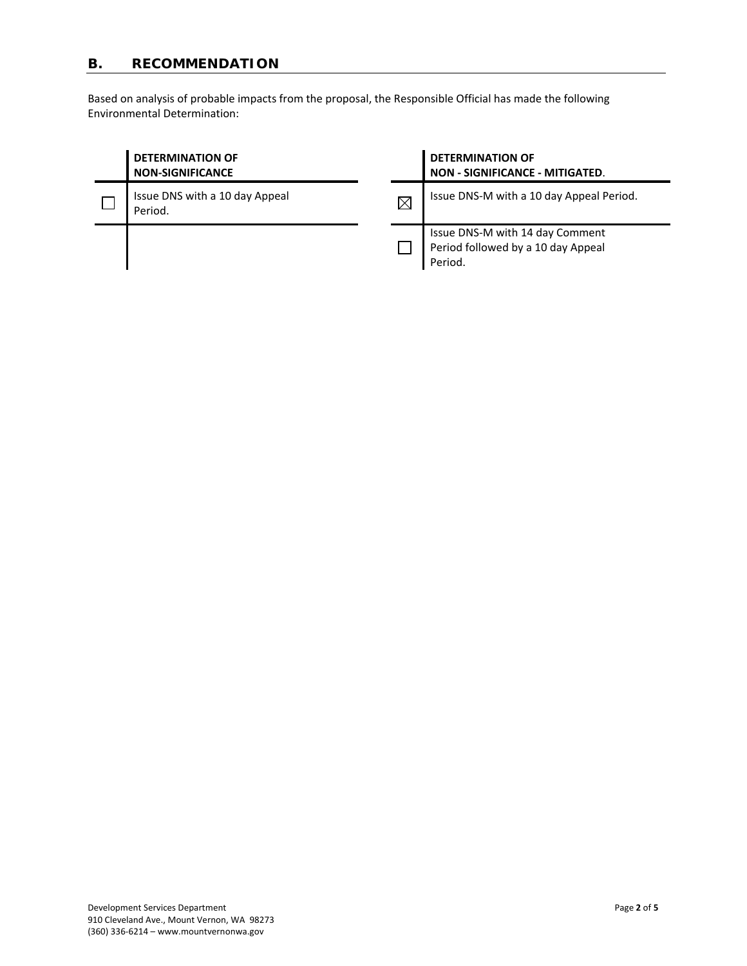## **B. RECOMMENDATION**

Based on analysis of probable impacts from the proposal, the Responsible Official has made the following Environmental Determination:

| <b>DETERMINATION OF</b><br><b>NON-SIGNIFICANCE</b> |             | <b>DETERMINATION OF</b><br><b>NON - SIGNIFICANCE - MITIGATED.</b>                |  |
|----------------------------------------------------|-------------|----------------------------------------------------------------------------------|--|
| Issue DNS with a 10 day Appeal<br>Period.          | $\boxtimes$ | Issue DNS-M with a 10 day Appeal Period.                                         |  |
|                                                    |             | Issue DNS-M with 14 day Comment<br>Period followed by a 10 day Appeal<br>Period. |  |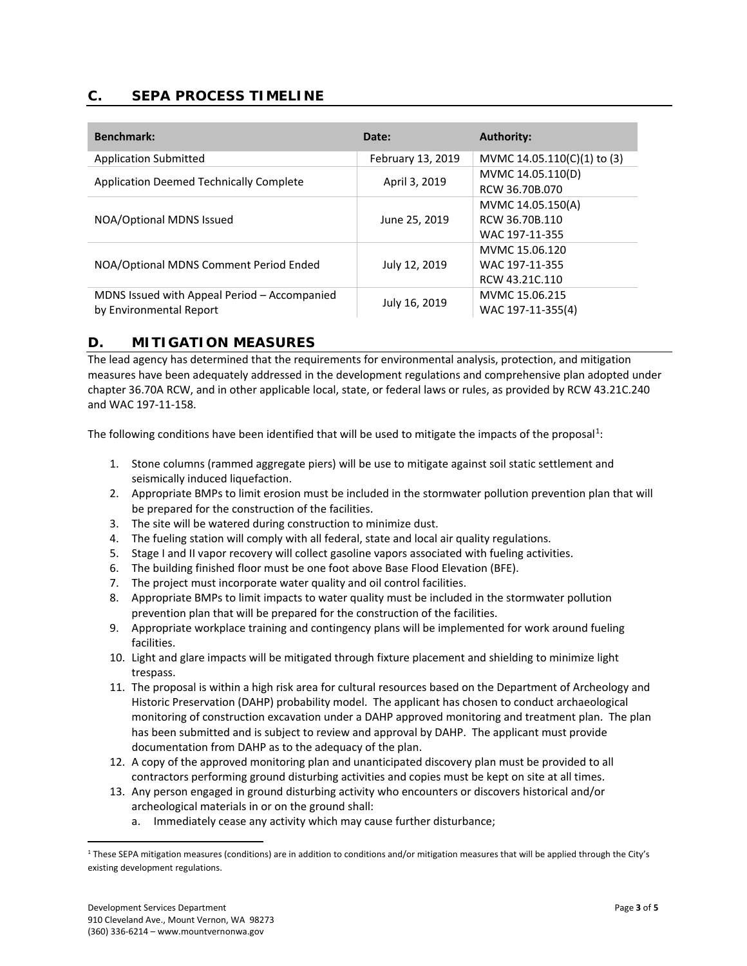### **C. SEPA PROCESS TIMELINE**

| <b>Benchmark:</b>                              | Date:             | <b>Authority:</b>           |
|------------------------------------------------|-------------------|-----------------------------|
| <b>Application Submitted</b>                   | February 13, 2019 | MVMC 14.05.110(C)(1) to (3) |
| <b>Application Deemed Technically Complete</b> | April 3, 2019     | MVMC 14.05.110(D)           |
|                                                |                   | RCW 36.70B.070              |
|                                                | June 25, 2019     | MVMC 14.05.150(A)           |
| NOA/Optional MDNS Issued                       |                   | RCW 36.70B.110              |
|                                                |                   | WAC 197-11-355              |
|                                                | July 12, 2019     | MVMC 15.06.120              |
| NOA/Optional MDNS Comment Period Ended         |                   | WAC 197-11-355              |
|                                                |                   | RCW 43.21C.110              |
| MDNS Issued with Appeal Period - Accompanied   | July 16, 2019     | MVMC 15.06.215              |
| by Environmental Report                        |                   | WAC 197-11-355(4)           |

### **D. MITIGATION MEASURES**

The lead agency has determined that the requirements for environmental analysis, protection, and mitigation measures have been adequately addressed in the development regulations and comprehensive plan adopted under chapter 36.70A RCW, and in other applicable local, state, or federal laws or rules, as provided by RCW 43.21C.240 and WAC 197-11-158.

The following conditions have been identified that will be used to mitigate the impacts of the proposal<sup>[1](#page-4-0)</sup>:

- 1. Stone columns (rammed aggregate piers) will be use to mitigate against soil static settlement and seismically induced liquefaction.
- 2. Appropriate BMPs to limit erosion must be included in the stormwater pollution prevention plan that will be prepared for the construction of the facilities.
- 3. The site will be watered during construction to minimize dust.
- 4. The fueling station will comply with all federal, state and local air quality regulations.
- 5. Stage I and II vapor recovery will collect gasoline vapors associated with fueling activities.
- 6. The building finished floor must be one foot above Base Flood Elevation (BFE).
- 7. The project must incorporate water quality and oil control facilities.
- 8. Appropriate BMPs to limit impacts to water quality must be included in the stormwater pollution prevention plan that will be prepared for the construction of the facilities.
- 9. Appropriate workplace training and contingency plans will be implemented for work around fueling facilities.
- 10. Light and glare impacts will be mitigated through fixture placement and shielding to minimize light trespass.
- 11. The proposal is within a high risk area for cultural resources based on the Department of Archeology and Historic Preservation (DAHP) probability model. The applicant has chosen to conduct archaeological monitoring of construction excavation under a DAHP approved monitoring and treatment plan. The plan has been submitted and is subject to review and approval by DAHP. The applicant must provide documentation from DAHP as to the adequacy of the plan.
- 12. A copy of the approved monitoring plan and unanticipated discovery plan must be provided to all contractors performing ground disturbing activities and copies must be kept on site at all times.
- 13. Any person engaged in ground disturbing activity who encounters or discovers historical and/or archeological materials in or on the ground shall:
	- a. Immediately cease any activity which may cause further disturbance;

<span id="page-4-0"></span> $1$  These SEPA mitigation measures (conditions) are in addition to conditions and/or mitigation measures that will be applied through the City's existing development regulations.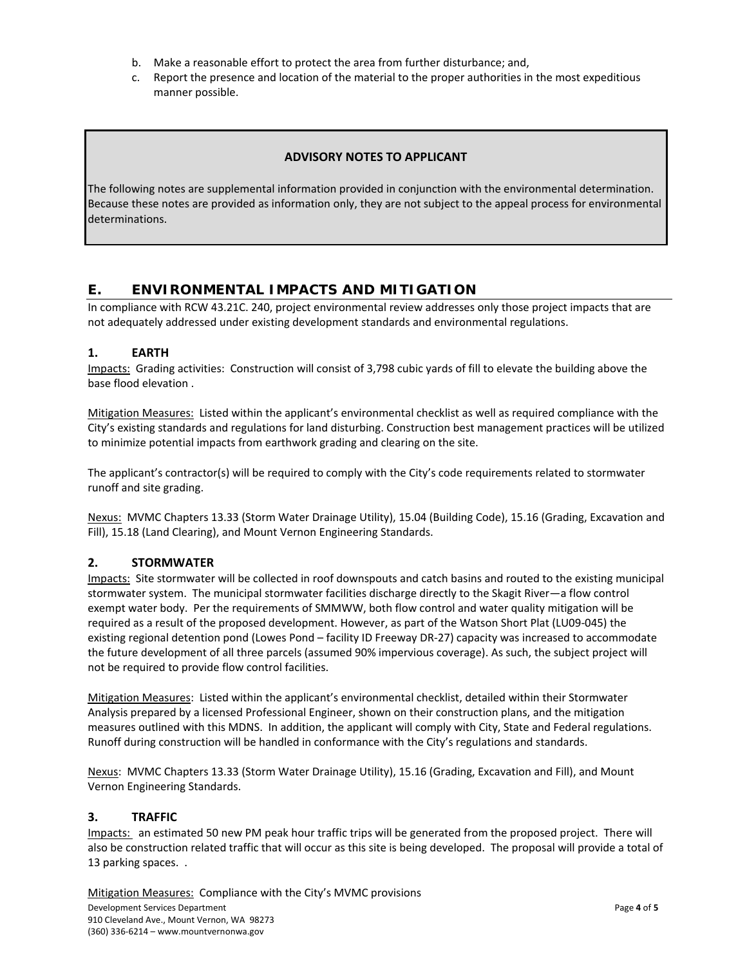- b. Make a reasonable effort to protect the area from further disturbance; and,
- c. Report the presence and location of the material to the proper authorities in the most expeditious manner possible.

### **ADVISORY NOTES TO APPLICANT**

The following notes are supplemental information provided in conjunction with the environmental determination. Because these notes are provided as information only, they are not subject to the appeal process for environmental determinations.

### **E. ENVIRONMENTAL IMPACTS AND MITIGATION**

In compliance with RCW 43.21C. 240, project environmental review addresses only those project impacts that are not adequately addressed under existing development standards and environmental regulations.

#### **1. EARTH**

Impacts: Grading activities: Construction will consist of 3,798 cubic yards of fill to elevate the building above the base flood elevation .

Mitigation Measures: Listed within the applicant's environmental checklist as well as required compliance with the City's existing standards and regulations for land disturbing. Construction best management practices will be utilized to minimize potential impacts from earthwork grading and clearing on the site.

The applicant's contractor(s) will be required to comply with the City's code requirements related to stormwater runoff and site grading.

Nexus: MVMC Chapters 13.33 (Storm Water Drainage Utility), 15.04 (Building Code), 15.16 (Grading, Excavation and Fill), 15.18 (Land Clearing), and Mount Vernon Engineering Standards.

### **2. STORMWATER**

Impacts: Site stormwater will be collected in roof downspouts and catch basins and routed to the existing municipal stormwater system. The municipal stormwater facilities discharge directly to the Skagit River—a flow control exempt water body. Per the requirements of SMMWW, both flow control and water quality mitigation will be required as a result of the proposed development. However, as part of the Watson Short Plat (LU09-045) the existing regional detention pond (Lowes Pond – facility ID Freeway DR-27) capacity was increased to accommodate the future development of all three parcels (assumed 90% impervious coverage). As such, the subject project will not be required to provide flow control facilities.

Mitigation Measures: Listed within the applicant's environmental checklist, detailed within their Stormwater Analysis prepared by a licensed Professional Engineer, shown on their construction plans, and the mitigation measures outlined with this MDNS. In addition, the applicant will comply with City, State and Federal regulations. Runoff during construction will be handled in conformance with the City's regulations and standards.

Nexus: MVMC Chapters 13.33 (Storm Water Drainage Utility), 15.16 (Grading, Excavation and Fill), and Mount Vernon Engineering Standards.

#### **3. TRAFFIC**

Impacts: an estimated 50 new PM peak hour traffic trips will be generated from the proposed project. There will also be construction related traffic that will occur as this site is being developed. The proposal will provide a total of 13 parking spaces. .

Development Services Department Page **4** of **5** 910 Cleveland Ave., Mount Vernon, WA 98273 (360) 336-6214 – www.mountvernonwa.gov Mitigation Measures: Compliance with the City's MVMC provisions